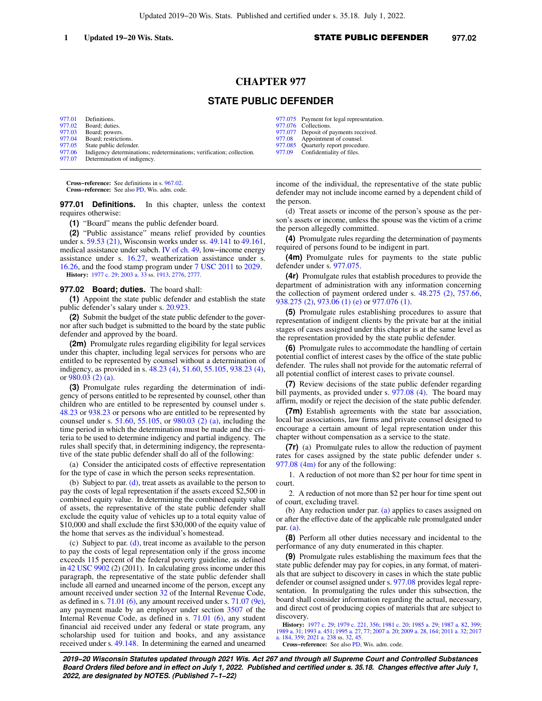# **CHAPTER 977**

## **STATE PUBLIC DEFENDER**

| 977.01 | Definitions.                                                          |
|--------|-----------------------------------------------------------------------|
| 977.02 | Board: duties.                                                        |
| 977.03 | Board: powers.                                                        |
| 977.04 | Board: restrictions.                                                  |
| 977.05 | State public defender.                                                |
| 977.06 | Indigency determinations; redeterminations; verification; collection. |
| 977.07 | Determination of indigency.                                           |

**Cross−reference:** See definitions in s. [967.02](https://docs.legis.wisconsin.gov/document/statutes/967.02). **Cross−reference:** See also [PD,](https://docs.legis.wisconsin.gov/document/administrativecode/PD) Wis. adm. code.

**977.01 Definitions.** In this chapter, unless the context requires otherwise:

**(1)** "Board" means the public defender board.

**(2)** "Public assistance" means relief provided by counties under s. [59.53 \(21\)](https://docs.legis.wisconsin.gov/document/statutes/59.53(21)), Wisconsin works under ss. [49.141](https://docs.legis.wisconsin.gov/document/statutes/49.141) to [49.161,](https://docs.legis.wisconsin.gov/document/statutes/49.161) medical assistance under subch. [IV of ch. 49](https://docs.legis.wisconsin.gov/document/statutes/subch.%20IV%20of%20ch.%2049), low−income energy assistance under s. [16.27](https://docs.legis.wisconsin.gov/document/statutes/16.27), weatherization assistance under s. [16.26](https://docs.legis.wisconsin.gov/document/statutes/16.26), and the food stamp program under [7 USC 2011](https://docs.legis.wisconsin.gov/document/usc/7%20USC%202011) to [2029](https://docs.legis.wisconsin.gov/document/usc/7%20USC%202029). **History:** [1977 c. 29;](https://docs.legis.wisconsin.gov/document/acts/1977/29) [2003 a. 33](https://docs.legis.wisconsin.gov/document/acts/2003/33) ss. [1913,](https://docs.legis.wisconsin.gov/document/acts/2003/33,%20s.%201913) [2776](https://docs.legis.wisconsin.gov/document/acts/2003/33,%20s.%202776), [2777.](https://docs.legis.wisconsin.gov/document/acts/2003/33,%20s.%202777)

**977.02 Board; duties.** The board shall:

**(1)** Appoint the state public defender and establish the state public defender's salary under s. [20.923.](https://docs.legis.wisconsin.gov/document/statutes/20.923)

**(2)** Submit the budget of the state public defender to the governor after such budget is submitted to the board by the state public defender and approved by the board.

**(2m)** Promulgate rules regarding eligibility for legal services under this chapter, including legal services for persons who are entitled to be represented by counsel without a determination of indigency, as provided in s. [48.23 \(4\),](https://docs.legis.wisconsin.gov/document/statutes/48.23(4)) [51.60](https://docs.legis.wisconsin.gov/document/statutes/51.60), [55.105,](https://docs.legis.wisconsin.gov/document/statutes/55.105) [938.23 \(4\),](https://docs.legis.wisconsin.gov/document/statutes/938.23(4)) or [980.03 \(2\) \(a\).](https://docs.legis.wisconsin.gov/document/statutes/980.03(2)(a))

**(3)** Promulgate rules regarding the determination of indigency of persons entitled to be represented by counsel, other than children who are entitled to be represented by counsel under s. [48.23](https://docs.legis.wisconsin.gov/document/statutes/48.23) or [938.23](https://docs.legis.wisconsin.gov/document/statutes/938.23) or persons who are entitled to be represented by counsel under s. [51.60,](https://docs.legis.wisconsin.gov/document/statutes/51.60) [55.105,](https://docs.legis.wisconsin.gov/document/statutes/55.105) or [980.03 \(2\) \(a\)](https://docs.legis.wisconsin.gov/document/statutes/980.03(2)(a)), including the time period in which the determination must be made and the criteria to be used to determine indigency and partial indigency. The rules shall specify that, in determining indigency, the representative of the state public defender shall do all of the following:

(a) Consider the anticipated costs of effective representation for the type of case in which the person seeks representation.

(b) Subject to par. [\(d\)](https://docs.legis.wisconsin.gov/document/statutes/977.02(3)(d)), treat assets as available to the person to pay the costs of legal representation if the assets exceed \$2,500 in combined equity value. In determining the combined equity value of assets, the representative of the state public defender shall exclude the equity value of vehicles up to a total equity value of \$10,000 and shall exclude the first \$30,000 of the equity value of the home that serves as the individual's homestead.

(c) Subject to par. [\(d\)](https://docs.legis.wisconsin.gov/document/statutes/977.02(3)(d)), treat income as available to the person to pay the costs of legal representation only if the gross income exceeds 115 percent of the federal poverty guideline, as defined in [42 USC 9902](https://docs.legis.wisconsin.gov/document/usc/42%20USC%209902) (2) (2011). In calculating gross income under this paragraph, the representative of the state public defender shall include all earned and unearned income of the person, except any amount received under section [32](https://docs.legis.wisconsin.gov/document/usc/26%20USC%2032) of the Internal Revenue Code, as defined in s. [71.01 \(6\)](https://docs.legis.wisconsin.gov/document/statutes/71.01(6)), any amount received under s. [71.07 \(9e\),](https://docs.legis.wisconsin.gov/document/statutes/71.07(9e)) any payment made by an employer under section [3507](https://docs.legis.wisconsin.gov/document/usc/26%20USC%203507) of the Internal Revenue Code, as defined in s. [71.01 \(6\)](https://docs.legis.wisconsin.gov/document/statutes/71.01(6)), any student financial aid received under any federal or state program, any scholarship used for tuition and books, and any assistance received under s. [49.148](https://docs.legis.wisconsin.gov/document/statutes/49.148). In determining the earned and unearned

- [977.075](https://docs.legis.wisconsin.gov/document/statutes/977.075) Payment for legal representation.<br>977.076 Collections.
- Collections.
- [977.077](https://docs.legis.wisconsin.gov/document/statutes/977.077) Deposit of payments received.<br>977.08 Annointment of counsel. [977.08](https://docs.legis.wisconsin.gov/document/statutes/977.08) Appointment of counsel.<br>977.085 Ouarterly report procedure
- [977.085](https://docs.legis.wisconsin.gov/document/statutes/977.085) Quarterly report procedure.<br>977.09 Confidentiality of files.
- Confidentiality of files.

income of the individual, the representative of the state public defender may not include income earned by a dependent child of the person.

(d) Treat assets or income of the person's spouse as the person's assets or income, unless the spouse was the victim of a crime the person allegedly committed.

**(4)** Promulgate rules regarding the determination of payments required of persons found to be indigent in part.

**(4m)** Promulgate rules for payments to the state public defender under s. [977.075](https://docs.legis.wisconsin.gov/document/statutes/977.075).

**(4r)** Promulgate rules that establish procedures to provide the department of administration with any information concerning the collection of payment ordered under s. [48.275 \(2\),](https://docs.legis.wisconsin.gov/document/statutes/48.275(2)) [757.66,](https://docs.legis.wisconsin.gov/document/statutes/757.66) [938.275 \(2\)](https://docs.legis.wisconsin.gov/document/statutes/938.275(2)), [973.06 \(1\) \(e\)](https://docs.legis.wisconsin.gov/document/statutes/973.06(1)(e)) or [977.076 \(1\)](https://docs.legis.wisconsin.gov/document/statutes/977.076(1)).

**(5)** Promulgate rules establishing procedures to assure that representation of indigent clients by the private bar at the initial stages of cases assigned under this chapter is at the same level as the representation provided by the state public defender.

**(6)** Promulgate rules to accommodate the handling of certain potential conflict of interest cases by the office of the state public defender. The rules shall not provide for the automatic referral of all potential conflict of interest cases to private counsel.

**(7)** Review decisions of the state public defender regarding bill payments, as provided under s. [977.08 \(4\)](https://docs.legis.wisconsin.gov/document/statutes/977.08(4)). The board may affirm, modify or reject the decision of the state public defender.

**(7m)** Establish agreements with the state bar association, local bar associations, law firms and private counsel designed to encourage a certain amount of legal representation under this chapter without compensation as a service to the state.

**(7r)** (a) Promulgate rules to allow the reduction of payment rates for cases assigned by the state public defender under s. [977.08 \(4m\)](https://docs.legis.wisconsin.gov/document/statutes/977.08(4m)) for any of the following:

1. A reduction of not more than \$2 per hour for time spent in court.

2. A reduction of not more than \$2 per hour for time spent out of court, excluding travel.

(b) Any reduction under par.  $(a)$  applies to cases assigned on or after the effective date of the applicable rule promulgated under par. [\(a\).](https://docs.legis.wisconsin.gov/document/statutes/977.02(7r)(a))

**(8)** Perform all other duties necessary and incidental to the performance of any duty enumerated in this chapter.

**(9)** Promulgate rules establishing the maximum fees that the state public defender may pay for copies, in any format, of materials that are subject to discovery in cases in which the state public defender or counsel assigned under s. [977.08](https://docs.legis.wisconsin.gov/document/statutes/977.08) provides legal representation. In promulgating the rules under this subsection, the board shall consider information regarding the actual, necessary, and direct cost of producing copies of materials that are subject to discovery.

**History:** [1977 c. 29](https://docs.legis.wisconsin.gov/document/acts/1977/29); [1979 c. 221](https://docs.legis.wisconsin.gov/document/acts/1979/221), [356](https://docs.legis.wisconsin.gov/document/acts/1979/356); [1981 c. 20;](https://docs.legis.wisconsin.gov/document/acts/1981/20) [1985 a. 29;](https://docs.legis.wisconsin.gov/document/acts/1985/29) [1987 a. 82](https://docs.legis.wisconsin.gov/document/acts/1987/82), [399](https://docs.legis.wisconsin.gov/document/acts/1987/399); [1989 a. 31;](https://docs.legis.wisconsin.gov/document/acts/1989/31) [1993 a. 451;](https://docs.legis.wisconsin.gov/document/acts/1993/451) [1995 a. 27,](https://docs.legis.wisconsin.gov/document/acts/1995/27) [77;](https://docs.legis.wisconsin.gov/document/acts/1995/77) [2007 a. 20;](https://docs.legis.wisconsin.gov/document/acts/2007/20) [2009 a. 28,](https://docs.legis.wisconsin.gov/document/acts/2009/28) [164](https://docs.legis.wisconsin.gov/document/acts/2009/164); [2011 a. 32;](https://docs.legis.wisconsin.gov/document/acts/2011/32) [2017](https://docs.legis.wisconsin.gov/document/acts/2017/184) [a. 184](https://docs.legis.wisconsin.gov/document/acts/2017/184), [359](https://docs.legis.wisconsin.gov/document/acts/2017/359); [2021 a. 238](https://docs.legis.wisconsin.gov/document/acts/2021/238) ss. [32,](https://docs.legis.wisconsin.gov/document/acts/2021/238,%20s.%2032) [45](https://docs.legis.wisconsin.gov/document/acts/2021/238,%20s.%2045).

**Cross−reference:** See also [PD](https://docs.legis.wisconsin.gov/document/administrativecode/PD), Wis. adm. code.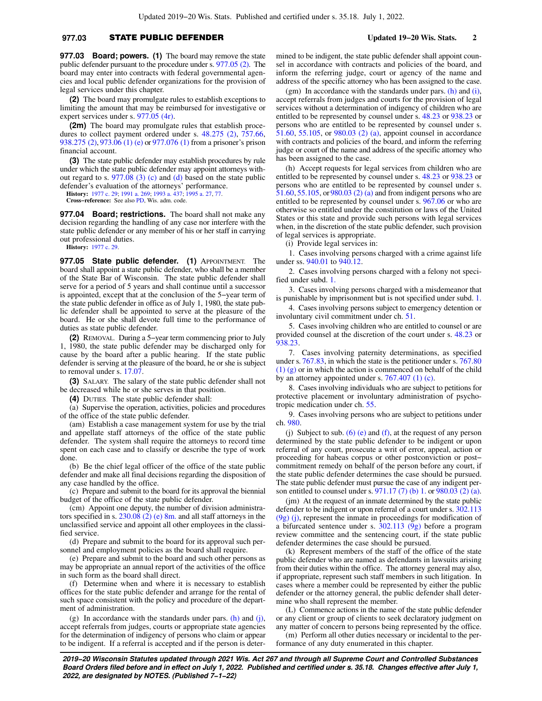### **977.03** STATE PUBLIC DEFENDER **Updated 19−20 Wis. Stats. 2**

**977.03 Board; powers. (1)** The board may remove the state public defender pursuant to the procedure under s. [977.05 \(2\)](https://docs.legis.wisconsin.gov/document/statutes/977.05(2)). The board may enter into contracts with federal governmental agencies and local public defender organizations for the provision of legal services under this chapter.

**(2)** The board may promulgate rules to establish exceptions to limiting the amount that may be reimbursed for investigative or expert services under s. [977.05 \(4r\).](https://docs.legis.wisconsin.gov/document/statutes/977.05(4r))

**(2m)** The board may promulgate rules that establish procedures to collect payment ordered under s. [48.275 \(2\)](https://docs.legis.wisconsin.gov/document/statutes/48.275(2)), [757.66,](https://docs.legis.wisconsin.gov/document/statutes/757.66) [938.275 \(2\)](https://docs.legis.wisconsin.gov/document/statutes/938.275(2)), [973.06 \(1\) \(e\)](https://docs.legis.wisconsin.gov/document/statutes/973.06(1)(e)) or [977.076 \(1\)](https://docs.legis.wisconsin.gov/document/statutes/977.076(1)) from a prisoner's prison financial account.

**(3)** The state public defender may establish procedures by rule under which the state public defender may appoint attorneys without regard to s. [977.08 \(3\) \(c\)](https://docs.legis.wisconsin.gov/document/statutes/977.08(3)(c)) and [\(d\)](https://docs.legis.wisconsin.gov/document/statutes/977.08(3)(d)) based on the state public defender's evaluation of the attorneys' performance.

**History:** [1977 c. 29;](https://docs.legis.wisconsin.gov/document/acts/1977/29) [1991 a. 269;](https://docs.legis.wisconsin.gov/document/acts/1991/269) [1993 a. 437](https://docs.legis.wisconsin.gov/document/acts/1993/437); [1995 a. 27](https://docs.legis.wisconsin.gov/document/acts/1995/27), [77.](https://docs.legis.wisconsin.gov/document/acts/1995/77)

**Cross−reference:** See also [PD,](https://docs.legis.wisconsin.gov/document/administrativecode/PD) Wis. adm. code.

**977.04 Board; restrictions.** The board shall not make any decision regarding the handling of any case nor interfere with the state public defender or any member of his or her staff in carrying out professional duties.

**History:** [1977 c. 29.](https://docs.legis.wisconsin.gov/document/acts/1977/29)

**977.05 State public defender. (1)** APPOINTMENT. The board shall appoint a state public defender, who shall be a member of the State Bar of Wisconsin. The state public defender shall serve for a period of 5 years and shall continue until a successor is appointed, except that at the conclusion of the 5−year term of the state public defender in office as of July 1, 1980, the state public defender shall be appointed to serve at the pleasure of the board. He or she shall devote full time to the performance of duties as state public defender.

**(2)** REMOVAL. During a 5−year term commencing prior to July 1, 1980, the state public defender may be discharged only for cause by the board after a public hearing. If the state public defender is serving at the pleasure of the board, he or she is subject to removal under s. [17.07](https://docs.legis.wisconsin.gov/document/statutes/17.07).

**(3)** SALARY. The salary of the state public defender shall not be decreased while he or she serves in that position.

**(4)** DUTIES. The state public defender shall:

(a) Supervise the operation, activities, policies and procedures of the office of the state public defender.

(am) Establish a case management system for use by the trial and appellate staff attorneys of the office of the state public defender. The system shall require the attorneys to record time spent on each case and to classify or describe the type of work done.

(b) Be the chief legal officer of the office of the state public defender and make all final decisions regarding the disposition of any case handled by the office.

(c) Prepare and submit to the board for its approval the biennial budget of the office of the state public defender.

(cm) Appoint one deputy, the number of division administrators specified in s.  $230.08$  (2) (e) 8m, and all staff attorneys in the unclassified service and appoint all other employees in the classified service.

(d) Prepare and submit to the board for its approval such personnel and employment policies as the board shall require.

(e) Prepare and submit to the board and such other persons as may be appropriate an annual report of the activities of the office in such form as the board shall direct.

(f) Determine when and where it is necessary to establish offices for the state public defender and arrange for the rental of such space consistent with the policy and procedure of the department of administration.

(g) In accordance with the standards under pars.  $(h)$  and  $(i)$ , accept referrals from judges, courts or appropriate state agencies for the determination of indigency of persons who claim or appear to be indigent. If a referral is accepted and if the person is determined to be indigent, the state public defender shall appoint counsel in accordance with contracts and policies of the board, and inform the referring judge, court or agency of the name and address of the specific attorney who has been assigned to the case.

(gm) In accordance with the standards under pars.  $(h)$  and  $(i)$ , accept referrals from judges and courts for the provision of legal services without a determination of indigency of children who are entitled to be represented by counsel under s. [48.23](https://docs.legis.wisconsin.gov/document/statutes/48.23) or [938.23](https://docs.legis.wisconsin.gov/document/statutes/938.23) or persons who are entitled to be represented by counsel under s. [51.60](https://docs.legis.wisconsin.gov/document/statutes/51.60), [55.105](https://docs.legis.wisconsin.gov/document/statutes/55.105), or [980.03 \(2\) \(a\),](https://docs.legis.wisconsin.gov/document/statutes/980.03(2)(a)) appoint counsel in accordance with contracts and policies of the board, and inform the referring judge or court of the name and address of the specific attorney who has been assigned to the case.

(h) Accept requests for legal services from children who are entitled to be represented by counsel under s. [48.23](https://docs.legis.wisconsin.gov/document/statutes/48.23) or [938.23](https://docs.legis.wisconsin.gov/document/statutes/938.23) or persons who are entitled to be represented by counsel under s. [51.60](https://docs.legis.wisconsin.gov/document/statutes/51.60), [55.105,](https://docs.legis.wisconsin.gov/document/statutes/55.105) or[980.03 \(2\) \(a\)](https://docs.legis.wisconsin.gov/document/statutes/980.03(2)(a)) and from indigent persons who are entitled to be represented by counsel under s. [967.06](https://docs.legis.wisconsin.gov/document/statutes/967.06) or who are otherwise so entitled under the constitution or laws of the United States or this state and provide such persons with legal services when, in the discretion of the state public defender, such provision of legal services is appropriate.

(i) Provide legal services in:

1. Cases involving persons charged with a crime against life under ss. [940.01](https://docs.legis.wisconsin.gov/document/statutes/940.01) to [940.12.](https://docs.legis.wisconsin.gov/document/statutes/940.12)

2. Cases involving persons charged with a felony not specified under subd. [1.](https://docs.legis.wisconsin.gov/document/statutes/977.05(4)(i)1.)

3. Cases involving persons charged with a misdemeanor that is punishable by imprisonment but is not specified under subd. [1.](https://docs.legis.wisconsin.gov/document/statutes/977.05(4)(i)1.)

4. Cases involving persons subject to emergency detention or involuntary civil commitment under ch. [51](https://docs.legis.wisconsin.gov/document/statutes/ch.%2051).

5. Cases involving children who are entitled to counsel or are provided counsel at the discretion of the court under s. [48.23](https://docs.legis.wisconsin.gov/document/statutes/48.23) or [938.23.](https://docs.legis.wisconsin.gov/document/statutes/938.23)

7. Cases involving paternity determinations, as specified under s. [767.83,](https://docs.legis.wisconsin.gov/document/statutes/767.83) in which the state is the petitioner under s. [767.80](https://docs.legis.wisconsin.gov/document/statutes/767.80(1)(g)) [\(1\) \(g\)](https://docs.legis.wisconsin.gov/document/statutes/767.80(1)(g)) or in which the action is commenced on behalf of the child by an attorney appointed under s. [767.407 \(1\) \(c\).](https://docs.legis.wisconsin.gov/document/statutes/767.407(1)(c))

8. Cases involving individuals who are subject to petitions for protective placement or involuntary administration of psychotropic medication under ch. [55.](https://docs.legis.wisconsin.gov/document/statutes/ch.%2055)

9. Cases involving persons who are subject to petitions under ch. [980.](https://docs.legis.wisconsin.gov/document/statutes/ch.%20980)

(j) Subject to sub.  $(6)$  (e) and [\(f\)](https://docs.legis.wisconsin.gov/document/statutes/977.05(6)(f)), at the request of any person determined by the state public defender to be indigent or upon referral of any court, prosecute a writ of error, appeal, action or proceeding for habeas corpus or other postconviction or post− commitment remedy on behalf of the person before any court, if the state public defender determines the case should be pursued. The state public defender must pursue the case of any indigent person entitled to counsel under s. [971.17 \(7\) \(b\) 1.](https://docs.legis.wisconsin.gov/document/statutes/971.17(7)(b)1.) or [980.03 \(2\) \(a\).](https://docs.legis.wisconsin.gov/document/statutes/980.03(2)(a))

(jm) At the request of an inmate determined by the state public defender to be indigent or upon referral of a court under s. [302.113](https://docs.legis.wisconsin.gov/document/statutes/302.113(9g)(j)) [\(9g\) \(j\)](https://docs.legis.wisconsin.gov/document/statutes/302.113(9g)(j)), represent the inmate in proceedings for modification of a bifurcated sentence under s. [302.113 \(9g\)](https://docs.legis.wisconsin.gov/document/statutes/302.113(9g)) before a program review committee and the sentencing court, if the state public defender determines the case should be pursued.

(k) Represent members of the staff of the office of the state public defender who are named as defendants in lawsuits arising from their duties within the office. The attorney general may also, if appropriate, represent such staff members in such litigation. In cases where a member could be represented by either the public defender or the attorney general, the public defender shall determine who shall represent the member.

(L) Commence actions in the name of the state public defender or any client or group of clients to seek declaratory judgment on any matter of concern to persons being represented by the office.

(m) Perform all other duties necessary or incidental to the performance of any duty enumerated in this chapter.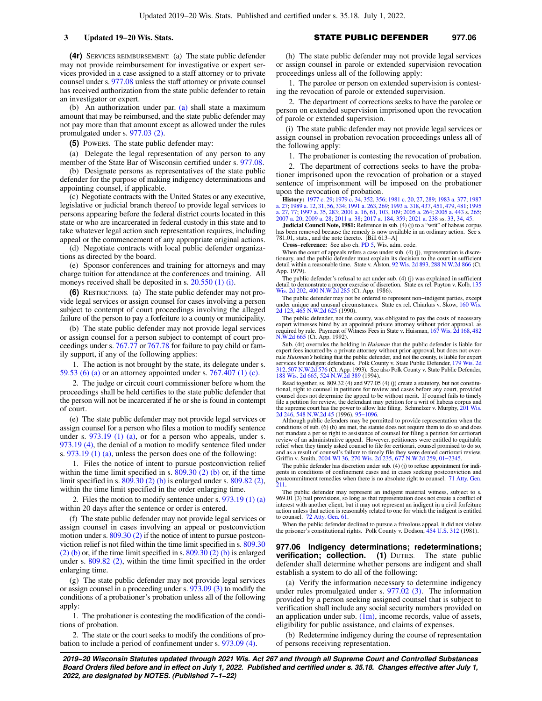**(4r)** SERVICES REIMBURSEMENT. (a) The state public defender may not provide reimbursement for investigative or expert services provided in a case assigned to a staff attorney or to private counsel under s. [977.08](https://docs.legis.wisconsin.gov/document/statutes/977.08) unless the staff attorney or private counsel has received authorization from the state public defender to retain an investigator or expert.

(b) An authorization under par. [\(a\)](https://docs.legis.wisconsin.gov/document/statutes/977.05(4r)(a)) shall state a maximum amount that may be reimbursed, and the state public defender may not pay more than that amount except as allowed under the rules promulgated under s. [977.03 \(2\)](https://docs.legis.wisconsin.gov/document/statutes/977.03(2)).

**(5)** POWERS. The state public defender may:

(a) Delegate the legal representation of any person to any member of the State Bar of Wisconsin certified under s. [977.08.](https://docs.legis.wisconsin.gov/document/statutes/977.08)

(b) Designate persons as representatives of the state public defender for the purpose of making indigency determinations and appointing counsel, if applicable.

(c) Negotiate contracts with the United States or any executive, legislative or judicial branch thereof to provide legal services to persons appearing before the federal district courts located in this state or who are incarcerated in federal custody in this state and to take whatever legal action such representation requires, including appeal or the commencement of any appropriate original actions.

(d) Negotiate contracts with local public defender organizations as directed by the board.

(e) Sponsor conferences and training for attorneys and may charge tuition for attendance at the conferences and training. All moneys received shall be deposited in s. [20.550 \(1\) \(i\)](https://docs.legis.wisconsin.gov/document/statutes/20.550(1)(i)).

**(6)** RESTRICTIONS. (a) The state public defender may not provide legal services or assign counsel for cases involving a person subject to contempt of court proceedings involving the alleged failure of the person to pay a forfeiture to a county or municipality.

(b) The state public defender may not provide legal services or assign counsel for a person subject to contempt of court proceedings under s. [767.77](https://docs.legis.wisconsin.gov/document/statutes/767.77) or [767.78](https://docs.legis.wisconsin.gov/document/statutes/767.78) for failure to pay child or family support, if any of the following applies:

1. The action is not brought by the state, its delegate under s. [59.53 \(6\) \(a\)](https://docs.legis.wisconsin.gov/document/statutes/59.53(6)(a)) or an attorney appointed under s. [767.407 \(1\) \(c\).](https://docs.legis.wisconsin.gov/document/statutes/767.407(1)(c))

2. The judge or circuit court commissioner before whom the proceedings shall be held certifies to the state public defender that the person will not be incarcerated if he or she is found in contempt of court.

(e) The state public defender may not provide legal services or assign counsel for a person who files a motion to modify sentence under s.  $973.19$  (1) (a), or for a person who appeals, under s. [973.19 \(4\)](https://docs.legis.wisconsin.gov/document/statutes/973.19(4)), the denial of a motion to modify sentence filed under s. [973.19 \(1\) \(a\),](https://docs.legis.wisconsin.gov/document/statutes/973.19(1)(a)) unless the person does one of the following:

1. Files the notice of intent to pursue postconviction relief within the time limit specified in s.  $809.30(2)$  (b) or, if the time limit specified in s. [809.30 \(2\) \(b\)](https://docs.legis.wisconsin.gov/document/statutes/809.30(2)(b)) is enlarged under s. [809.82 \(2\),](https://docs.legis.wisconsin.gov/document/statutes/809.82(2)) within the time limit specified in the order enlarging time.

2. Files the motion to modify sentence under s. [973.19 \(1\) \(a\)](https://docs.legis.wisconsin.gov/document/statutes/973.19(1)(a)) within 20 days after the sentence or order is entered.

(f) The state public defender may not provide legal services or assign counsel in cases involving an appeal or postconviction motion under s. [809.30 \(2\)](https://docs.legis.wisconsin.gov/document/statutes/809.30(2)) if the notice of intent to pursue postconviction relief is not filed within the time limit specified in s. [809.30](https://docs.legis.wisconsin.gov/document/statutes/809.30(2)(b)) [\(2\) \(b\)](https://docs.legis.wisconsin.gov/document/statutes/809.30(2)(b)) or, if the time limit specified in s. [809.30 \(2\) \(b\)](https://docs.legis.wisconsin.gov/document/statutes/809.30(2)(b)) is enlarged under s. [809.82 \(2\)](https://docs.legis.wisconsin.gov/document/statutes/809.82(2)), within the time limit specified in the order enlarging time.

(g) The state public defender may not provide legal services or assign counsel in a proceeding under s. [973.09 \(3\)](https://docs.legis.wisconsin.gov/document/statutes/973.09(3)) to modify the conditions of a probationer's probation unless all of the following apply:

1. The probationer is contesting the modification of the conditions of probation.

2. The state or the court seeks to modify the conditions of probation to include a period of confinement under s. [973.09 \(4\).](https://docs.legis.wisconsin.gov/document/statutes/973.09(4))

(h) The state public defender may not provide legal services or assign counsel in parole or extended supervision revocation proceedings unless all of the following apply:

1. The parolee or person on extended supervision is contesting the revocation of parole or extended supervision.

2. The department of corrections seeks to have the parolee or person on extended supervision imprisoned upon the revocation of parole or extended supervision.

(i) The state public defender may not provide legal services or assign counsel in probation revocation proceedings unless all of the following apply:

1. The probationer is contesting the revocation of probation.

2. The department of corrections seeks to have the probationer imprisoned upon the revocation of probation or a stayed sentence of imprisonment will be imposed on the probationer upon the revocation of probation.

**History:** [1977 c. 29;](https://docs.legis.wisconsin.gov/document/acts/1977/29) [1979 c. 34,](https://docs.legis.wisconsin.gov/document/acts/1979/34) [352,](https://docs.legis.wisconsin.gov/document/acts/1979/352) [356](https://docs.legis.wisconsin.gov/document/acts/1979/356); [1981 c. 20](https://docs.legis.wisconsin.gov/document/acts/1981/20), [27,](https://docs.legis.wisconsin.gov/document/acts/1981/27) [289](https://docs.legis.wisconsin.gov/document/acts/1981/289); [1983 a. 377;](https://docs.legis.wisconsin.gov/document/acts/1983/377) [1987](https://docs.legis.wisconsin.gov/document/acts/1987/27)<br>[a. 27](https://docs.legis.wisconsin.gov/document/acts/1995/27); [1989 a. 12,](https://docs.legis.wisconsin.gov/document/acts/1989/12) [31,](https://docs.legis.wisconsin.gov/document/acts/1989/31) [56](https://docs.legis.wisconsin.gov/document/acts/1989/56), [334;](https://docs.legis.wisconsin.gov/document/acts/1989/334) [1991 a. 263,](https://docs.legis.wisconsin.gov/document/acts/1991/263) [269](https://docs.legis.wisconsin.gov/document/acts/1991/269); [1993 a. 318](https://docs.legis.wisconsin.gov/document/acts/1993/318), [437,](https://docs.legis.wisconsin.gov/document/acts/1993/437) [451](https://docs.legis.wisconsin.gov/document/acts/1993/451), [479,](https://docs.legis.wisconsin.gov/document/acts/1993/479) [481](https://docs.legis.wisconsin.gov/document/acts/1993/481); [1995](https://docs.legis.wisconsin.gov/document/acts/1995/27)<br>a. 27, [77;](https://docs.legis.wisconsin.gov/document/acts/1995/77) [1997 a. 35](https://docs.legis.wisconsin.gov/document/acts/1997/35), [283](https://docs.legis.wisconsin.gov/document/acts/1997/283); [2001 a. 16,](https://docs.legis.wisconsin.gov/document/acts/2001/16) [61,](https://docs.legis.wisconsin.gov/document/acts/2001/61) [103,](https://docs.legis.wisconsin.gov/document/acts/2001/103) 1

**Judicial Council Note, 1981:** Reference in sub. (4) (j) to a "writ" of habeas corpus has been removed because the remedy is now available in an ordinary action. See s. 781.01, stats., and the note thereto. [Bill 613−A]

**Cross−reference:** See also ch. [PD 5,](https://docs.legis.wisconsin.gov/document/administrativecode/ch.%20PD%205) Wis. adm. code.

When the court of appeals refers a case under sub. (4) (j), representation is discretionary, and the public defender must explain its decision to the court in sufficient detail within a reasonable time. State v. Alston, [92 Wis. 2d 893](https://docs.legis.wisconsin.gov/document/courts/92%20Wis.%202d%20893), [288 N.W.2d 866](https://docs.legis.wisconsin.gov/document/courts/288%20N.W.2d%20866) (Ct. App. 1979).

The public defender's refusal to act under sub. (4) (j) was explained in sufficient detail to demonstrate a proper exercise of discretion. State ex rel. Payton v. Kolb, [135](https://docs.legis.wisconsin.gov/document/courts/135%20Wis.%202d%20202) [Wis. 2d 202,](https://docs.legis.wisconsin.gov/document/courts/135%20Wis.%202d%20202) [400 N.W.2d 285](https://docs.legis.wisconsin.gov/document/courts/400%20N.W.2d%20285) (Ct. App. 1986).

The public defender may not be ordered to represent non−indigent parties, except under unique and unusual circumstances. State ex rel. Chiarkas v. Skow, [160 Wis.](https://docs.legis.wisconsin.gov/document/courts/160%20Wis.%202d%20123) [2d 123](https://docs.legis.wisconsin.gov/document/courts/160%20Wis.%202d%20123), [465 N.W.2d 625](https://docs.legis.wisconsin.gov/document/courts/465%20N.W.2d%20625) (1990).

The public defender, not the county, was obligated to pay the costs of necessary expert witnesses hired by an appointed private attorney without prior approval, as required by rule. Payment of Witness Fees in State v. Huis [N.W.2d 665](https://docs.legis.wisconsin.gov/document/courts/482%20N.W.2d%20665) (Ct. App. 1992).

Sub. (4r) overrules the holding in *Huisman* that the public defender is liable for expert fees incurred by a private attorney without prior approval, but does not overrule *Huisman's* holding that the public defender, and not the county, is liable for expert services for indigent defendants. Polk County v. State Public Defender, [179 Wis. 2d](https://docs.legis.wisconsin.gov/document/courts/179%20Wis.%202d%20312) [312,](https://docs.legis.wisconsin.gov/document/courts/179%20Wis.%202d%20312) [507 N.W.2d 576](https://docs.legis.wisconsin.gov/document/courts/507%20N.W.2d%20576) (Ct. App. 1993). See also Polk County v. State Public Defender, [188 Wis. 2d 665](https://docs.legis.wisconsin.gov/document/courts/188%20Wis.%202d%20665), [524 N.W.2d 389](https://docs.legis.wisconsin.gov/document/courts/524%20N.W.2d%20389) (1994).

Read together, ss. 809.32 (4) and 977.05 (4) (j) create a statutory, but not constitutional, right to counsel in petitions for review and cases before any court, provided counsel does not determine the appeal to be without merit. If counsel fails to timely file a petition for review, the defendant may petition for a writ of habeas corpus and the supreme court has the power to allow late filing. Schmelzer v. Murphy, [201 Wis.](https://docs.legis.wisconsin.gov/document/courts/201%20Wis.%202d%20246) [2d 246](https://docs.legis.wisconsin.gov/document/courts/201%20Wis.%202d%20246), [548 N.W.2d 45](https://docs.legis.wisconsin.gov/document/courts/548%20N.W.2d%2045) (1996), [95−1096](https://docs.legis.wisconsin.gov/document/wisupremecourt/95-1096).

Although public defenders may be permitted to provide representation when the conditions of sub. (6) (h) are met, the statute does not require them to do so and does not mandate a per se right to assistance of counsel for filing a petition for certiorari review of an administrative appeal. However, petitioners were entitled to equitable relief when they timely asked counsel to file for certiorari, counsel promised to do so, and as a result of counsel's failure to timely file they were denied certiorari review. Griffin v. Smith, [2004 WI 36](https://docs.legis.wisconsin.gov/document/courts/2004%20WI%2036), [270 Wis. 2d 235,](https://docs.legis.wisconsin.gov/document/courts/270%20Wis.%202d%20235) [677 N.W.2d 259,](https://docs.legis.wisconsin.gov/document/courts/677%20N.W.2d%20259) [01−2345.](https://docs.legis.wisconsin.gov/document/wisupremecourt/01-2345)

The public defender has discretion under sub.  $(4)$  (j) to refuse appointment for indigents in conditions of confinement cases and in cases seeking postconviction and gents in conditions of confinement cases and in cases seeking postconviction and postcommitment remedies when there is no absolute right to counsel. [71 Atty. Gen.](https://docs.legis.wisconsin.gov/document/oag/vol71-211) [211](https://docs.legis.wisconsin.gov/document/oag/vol71-211).

The public defender may represent an indigent material witness, subject to s. 969.01 (3) bail provisions, so long as that representation does not create a conflict of interest with another client, but it may not represent an indigent in a civil forfeiture action unless that action is reasonably related to one for which the indigent is entitled to counsel. [72 Atty. Gen. 61](https://docs.legis.wisconsin.gov/document/oag/vol72-61).

When the public defender declined to pursue a frivolous appeal, it did not violate the prisoner's constitutional rights. Polk County v. Dodson, [454 U.S. 312](https://docs.legis.wisconsin.gov/document/courts/454%20U.S.%20312) (1981).

**977.06 Indigency determinations; redeterminations; verification; collection.** (1) DUTIES. The state public defender shall determine whether persons are indigent and shall establish a system to do all of the following:

(a) Verify the information necessary to determine indigency under rules promulgated under s. [977.02 \(3\)](https://docs.legis.wisconsin.gov/document/statutes/977.02(3)). The information provided by a person seeking assigned counsel that is subject to verification shall include any social security numbers provided on an application under sub.  $(1m)$ , income records, value of assets, eligibility for public assistance, and claims of expenses.

(b) Redetermine indigency during the course of representation of persons receiving representation.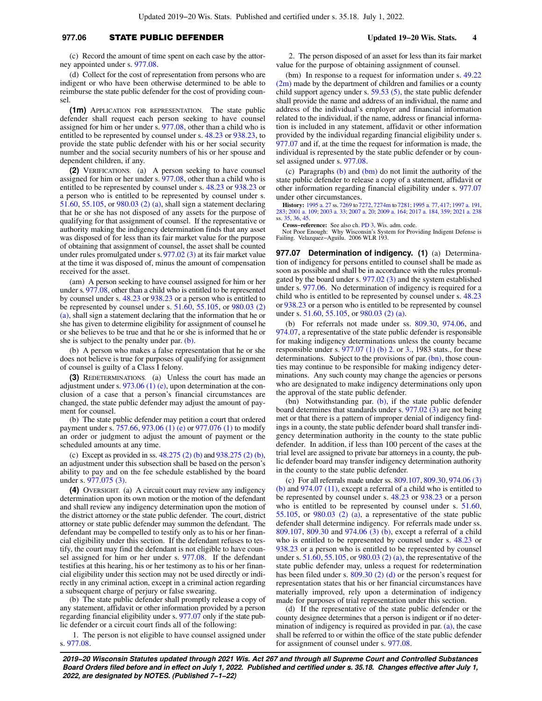### **977.06** STATE PUBLIC DEFENDER **Updated 19−20 Wis. Stats. 4**

(c) Record the amount of time spent on each case by the attorney appointed under s. [977.08.](https://docs.legis.wisconsin.gov/document/statutes/977.08)

(d) Collect for the cost of representation from persons who are indigent or who have been otherwise determined to be able to reimburse the state public defender for the cost of providing counsel.

**(1m)** APPLICATION FOR REPRESENTATION. The state public defender shall request each person seeking to have counsel assigned for him or her under s. [977.08,](https://docs.legis.wisconsin.gov/document/statutes/977.08) other than a child who is entitled to be represented by counsel under s. [48.23](https://docs.legis.wisconsin.gov/document/statutes/48.23) or [938.23,](https://docs.legis.wisconsin.gov/document/statutes/938.23) to provide the state public defender with his or her social security number and the social security numbers of his or her spouse and dependent children, if any.

**(2)** VERIFICATIONS. (a) A person seeking to have counsel assigned for him or her under s. [977.08,](https://docs.legis.wisconsin.gov/document/statutes/977.08) other than a child who is entitled to be represented by counsel under s. [48.23](https://docs.legis.wisconsin.gov/document/statutes/48.23) or [938.23](https://docs.legis.wisconsin.gov/document/statutes/938.23) or a person who is entitled to be represented by counsel under s. [51.60](https://docs.legis.wisconsin.gov/document/statutes/51.60), [55.105,](https://docs.legis.wisconsin.gov/document/statutes/55.105) or [980.03 \(2\) \(a\)](https://docs.legis.wisconsin.gov/document/statutes/980.03(2)(a)), shall sign a statement declaring that he or she has not disposed of any assets for the purpose of qualifying for that assignment of counsel. If the representative or authority making the indigency determination finds that any asset was disposed of for less than its fair market value for the purpose of obtaining that assignment of counsel, the asset shall be counted under rules promulgated under s.[977.02 \(3\)](https://docs.legis.wisconsin.gov/document/statutes/977.02(3)) at its fair market value at the time it was disposed of, minus the amount of compensation received for the asset.

(am) A person seeking to have counsel assigned for him or her under s. [977.08,](https://docs.legis.wisconsin.gov/document/statutes/977.08) other than a child who is entitled to be represented by counsel under s. [48.23](https://docs.legis.wisconsin.gov/document/statutes/48.23) or [938.23](https://docs.legis.wisconsin.gov/document/statutes/938.23) or a person who is entitled to be represented by counsel under s. [51.60](https://docs.legis.wisconsin.gov/document/statutes/51.60), [55.105](https://docs.legis.wisconsin.gov/document/statutes/55.105), or [980.03 \(2\)](https://docs.legis.wisconsin.gov/document/statutes/980.03(2)(a)) [\(a\),](https://docs.legis.wisconsin.gov/document/statutes/980.03(2)(a)) shall sign a statement declaring that the information that he or she has given to determine eligibility for assignment of counsel he or she believes to be true and that he or she is informed that he or she is subject to the penalty under par. [\(b\).](https://docs.legis.wisconsin.gov/document/statutes/977.06(2)(b))

(b) A person who makes a false representation that he or she does not believe is true for purposes of qualifying for assignment of counsel is guilty of a Class I felony.

**(3)** REDETERMINATIONS. (a) Unless the court has made an adjustment under s. [973.06 \(1\) \(e\),](https://docs.legis.wisconsin.gov/document/statutes/973.06(1)(e)) upon determination at the conclusion of a case that a person's financial circumstances are changed, the state public defender may adjust the amount of payment for counsel.

(b) The state public defender may petition a court that ordered payment under s. [757.66](https://docs.legis.wisconsin.gov/document/statutes/757.66), [973.06 \(1\) \(e\)](https://docs.legis.wisconsin.gov/document/statutes/973.06(1)(e)) or [977.076 \(1\)](https://docs.legis.wisconsin.gov/document/statutes/977.076(1)) to modify an order or judgment to adjust the amount of payment or the scheduled amounts at any time.

(c) Except as provided in ss. [48.275 \(2\) \(b\)](https://docs.legis.wisconsin.gov/document/statutes/48.275(2)(b)) and [938.275 \(2\) \(b\),](https://docs.legis.wisconsin.gov/document/statutes/938.275(2)(b)) an adjustment under this subsection shall be based on the person's ability to pay and on the fee schedule established by the board under s. [977.075 \(3\).](https://docs.legis.wisconsin.gov/document/statutes/977.075(3))

**(4)** OVERSIGHT. (a) A circuit court may review any indigency determination upon its own motion or the motion of the defendant and shall review any indigency determination upon the motion of the district attorney or the state public defender. The court, district attorney or state public defender may summon the defendant. The defendant may be compelled to testify only as to his or her financial eligibility under this section. If the defendant refuses to testify, the court may find the defendant is not eligible to have counsel assigned for him or her under s. [977.08](https://docs.legis.wisconsin.gov/document/statutes/977.08). If the defendant testifies at this hearing, his or her testimony as to his or her financial eligibility under this section may not be used directly or indirectly in any criminal action, except in a criminal action regarding a subsequent charge of perjury or false swearing.

(b) The state public defender shall promptly release a copy of any statement, affidavit or other information provided by a person regarding financial eligibility under s. [977.07](https://docs.legis.wisconsin.gov/document/statutes/977.07) only if the state public defender or a circuit court finds all of the following:

1. The person is not eligible to have counsel assigned under s. [977.08.](https://docs.legis.wisconsin.gov/document/statutes/977.08)

2. The person disposed of an asset for less than its fair market value for the purpose of obtaining assignment of counsel.

(bm) In response to a request for information under s. [49.22](https://docs.legis.wisconsin.gov/document/statutes/49.22(2m)) [\(2m\)](https://docs.legis.wisconsin.gov/document/statutes/49.22(2m)) made by the department of children and families or a county child support agency under s. [59.53 \(5\)](https://docs.legis.wisconsin.gov/document/statutes/59.53(5)), the state public defender shall provide the name and address of an individual, the name and address of the individual's employer and financial information related to the individual, if the name, address or financial information is included in any statement, affidavit or other information provided by the individual regarding financial eligibility under s. [977.07](https://docs.legis.wisconsin.gov/document/statutes/977.07) and if, at the time the request for information is made, the individual is represented by the state public defender or by counsel assigned under s. [977.08.](https://docs.legis.wisconsin.gov/document/statutes/977.08)

(c) Paragraphs [\(b\)](https://docs.legis.wisconsin.gov/document/statutes/977.06(4)(b)) and [\(bm\)](https://docs.legis.wisconsin.gov/document/statutes/977.06(4)(bm)) do not limit the authority of the state public defender to release a copy of a statement, affidavit or other information regarding financial eligibility under s. [977.07](https://docs.legis.wisconsin.gov/document/statutes/977.07) under other circumstances.

**History:** [1995 a. 27](https://docs.legis.wisconsin.gov/document/acts/1995/27) ss. [7269](https://docs.legis.wisconsin.gov/document/acts/1995/27,%20s.%207269) to [7272](https://docs.legis.wisconsin.gov/document/acts/1995/27,%20s.%207272), [7274m](https://docs.legis.wisconsin.gov/document/acts/1995/27,%20s.%207274m) to [7281](https://docs.legis.wisconsin.gov/document/acts/1995/27,%20s.%207281); [1995 a. 77,](https://docs.legis.wisconsin.gov/document/acts/1995/77) [417;](https://docs.legis.wisconsin.gov/document/acts/1995/417) [1997 a. 191](https://docs.legis.wisconsin.gov/document/acts/1997/191), [283;](https://docs.legis.wisconsin.gov/document/acts/1997/283) [2001 a. 109](https://docs.legis.wisconsin.gov/document/acts/2001/109); [2003 a. 33;](https://docs.legis.wisconsin.gov/document/acts/2003/33) [2007 a. 20;](https://docs.legis.wisconsin.gov/document/acts/2007/20) [2009 a. 164;](https://docs.legis.wisconsin.gov/document/acts/2009/164) [2017 a. 184,](https://docs.legis.wisconsin.gov/document/acts/2017/184) [359](https://docs.legis.wisconsin.gov/document/acts/2017/359); [2021 a. 238](https://docs.legis.wisconsin.gov/document/acts/2021/238) ss. [35,](https://docs.legis.wisconsin.gov/document/acts/2021/238,%20s.%2035) [36,](https://docs.legis.wisconsin.gov/document/acts/2021/238,%20s.%2036) [45](https://docs.legis.wisconsin.gov/document/acts/2021/238,%20s.%2045).

**Cross−reference:** See also ch. [PD 3,](https://docs.legis.wisconsin.gov/document/administrativecode/ch.%20PD%203) Wis. adm. code.

Not Poor Enough: Why Wisconsin's System for Providing Indigent Defense is Failing. Velazquez−Aguilu. 2006 WLR 193.

**977.07 Determination of indigency. (1)** (a) Determination of indigency for persons entitled to counsel shall be made as soon as possible and shall be in accordance with the rules promulgated by the board under s. [977.02 \(3\)](https://docs.legis.wisconsin.gov/document/statutes/977.02(3)) and the system established under s. [977.06.](https://docs.legis.wisconsin.gov/document/statutes/977.06) No determination of indigency is required for a child who is entitled to be represented by counsel under s. [48.23](https://docs.legis.wisconsin.gov/document/statutes/48.23) or [938.23](https://docs.legis.wisconsin.gov/document/statutes/938.23) or a person who is entitled to be represented by counsel under s. [51.60](https://docs.legis.wisconsin.gov/document/statutes/51.60), [55.105,](https://docs.legis.wisconsin.gov/document/statutes/55.105) or [980.03 \(2\) \(a\)](https://docs.legis.wisconsin.gov/document/statutes/980.03(2)(a)).

(b) For referrals not made under ss. [809.30,](https://docs.legis.wisconsin.gov/document/statutes/809.30) [974.06,](https://docs.legis.wisconsin.gov/document/statutes/974.06) and [974.07,](https://docs.legis.wisconsin.gov/document/statutes/974.07) a representative of the state public defender is responsible for making indigency determinations unless the county became responsible under s.  $977.07$  (1) (b) 2. or [3.,](https://docs.legis.wisconsin.gov/document/statutes/1983/977.07(1)(b)3.) 1983 stats., for these determinations. Subject to the provisions of par. [\(bn\)](https://docs.legis.wisconsin.gov/document/statutes/977.07(1)(bn)), those counties may continue to be responsible for making indigency determinations. Any such county may change the agencies or persons who are designated to make indigency determinations only upon the approval of the state public defender.

(bn) Notwithstanding par.  $(b)$ , if the state public defender board determines that standards under s. [977.02 \(3\)](https://docs.legis.wisconsin.gov/document/statutes/977.02(3)) are not being met or that there is a pattern of improper denial of indigency findings in a county, the state public defender board shall transfer indigency determination authority in the county to the state public defender. In addition, if less than 100 percent of the cases at the trial level are assigned to private bar attorneys in a county, the public defender board may transfer indigency determination authority in the county to the state public defender.

(c) For all referrals made under ss. [809.107,](https://docs.legis.wisconsin.gov/document/statutes/809.107) [809.30,](https://docs.legis.wisconsin.gov/document/statutes/809.30) [974.06 \(3\)](https://docs.legis.wisconsin.gov/document/statutes/974.06(3)(b)) [\(b\)](https://docs.legis.wisconsin.gov/document/statutes/974.06(3)(b)) and [974.07 \(11\),](https://docs.legis.wisconsin.gov/document/statutes/974.07(11)) except a referral of a child who is entitled to be represented by counsel under s. [48.23](https://docs.legis.wisconsin.gov/document/statutes/48.23) or [938.23](https://docs.legis.wisconsin.gov/document/statutes/938.23) or a person who is entitled to be represented by counsel under s. [51.60,](https://docs.legis.wisconsin.gov/document/statutes/51.60) [55.105,](https://docs.legis.wisconsin.gov/document/statutes/55.105) or  $980.03$  (2) (a), a representative of the state public defender shall determine indigency. For referrals made under ss. [809.107](https://docs.legis.wisconsin.gov/document/statutes/809.107), [809.30](https://docs.legis.wisconsin.gov/document/statutes/809.30) and [974.06 \(3\) \(b\),](https://docs.legis.wisconsin.gov/document/statutes/974.06(3)(b)) except a referral of a child who is entitled to be represented by counsel under s. [48.23](https://docs.legis.wisconsin.gov/document/statutes/48.23) or [938.23](https://docs.legis.wisconsin.gov/document/statutes/938.23) or a person who is entitled to be represented by counsel under s. [51.60](https://docs.legis.wisconsin.gov/document/statutes/51.60), [55.105,](https://docs.legis.wisconsin.gov/document/statutes/55.105) or [980.03 \(2\) \(a\)](https://docs.legis.wisconsin.gov/document/statutes/980.03(2)(a)), the representative of the state public defender may, unless a request for redetermination has been filed under s. [809.30 \(2\) \(d\)](https://docs.legis.wisconsin.gov/document/statutes/809.30(2)(d)) or the person's request for representation states that his or her financial circumstances have materially improved, rely upon a determination of indigency made for purposes of trial representation under this section.

(d) If the representative of the state public defender or the county designee determines that a person is indigent or if no determination of indigency is required as provided in par. [\(a\)](https://docs.legis.wisconsin.gov/document/statutes/977.07(1)(a)), the case shall be referred to or within the office of the state public defender for assignment of counsel under s. [977.08](https://docs.legis.wisconsin.gov/document/statutes/977.08).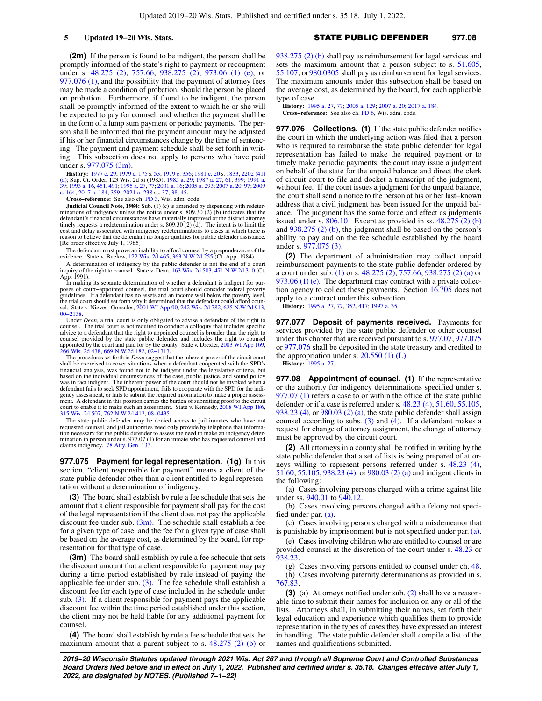**(2m)** If the person is found to be indigent, the person shall be promptly informed of the state's right to payment or recoupment under s. [48.275 \(2\),](https://docs.legis.wisconsin.gov/document/statutes/48.275(2)) [757.66](https://docs.legis.wisconsin.gov/document/statutes/757.66), [938.275 \(2\)](https://docs.legis.wisconsin.gov/document/statutes/938.275(2)), [973.06 \(1\) \(e\),](https://docs.legis.wisconsin.gov/document/statutes/973.06(1)(e)) or [977.076 \(1\),](https://docs.legis.wisconsin.gov/document/statutes/977.076(1)) and the possibility that the payment of attorney fees may be made a condition of probation, should the person be placed on probation. Furthermore, if found to be indigent, the person shall be promptly informed of the extent to which he or she will be expected to pay for counsel, and whether the payment shall be in the form of a lump sum payment or periodic payments. The person shall be informed that the payment amount may be adjusted if his or her financial circumstances change by the time of sentencing. The payment and payment schedule shall be set forth in writing. This subsection does not apply to persons who have paid under s. [977.075 \(3m\)](https://docs.legis.wisconsin.gov/document/statutes/977.075(3m)).

**History:** [1977 c. 29](https://docs.legis.wisconsin.gov/document/acts/1977/29); [1979 c. 175](https://docs.legis.wisconsin.gov/document/acts/1979/175) s. [53;](https://docs.legis.wisconsin.gov/document/acts/1979/175,%20s.%2053) [1979 c. 356](https://docs.legis.wisconsin.gov/document/acts/1979/356); [1981 c. 20](https://docs.legis.wisconsin.gov/document/acts/1981/20) s. [1833,](https://docs.legis.wisconsin.gov/document/acts/1981/20,%20s.%201833) [2202 \(41\)](https://docs.legis.wisconsin.gov/document/acts/1981/20,%20s.%202202) [\(a\);](https://docs.legis.wisconsin.gov/document/acts/1981/20,%20s.%202202) Sup. Ct. Order, 123 Wis. 2d xi (1985); [1985 a. 29;](https://docs.legis.wisconsin.gov/document/acts/1985/29) [1987 a. 27](https://docs.legis.wisconsin.gov/document/acts/1987/27), [61,](https://docs.legis.wisconsin.gov/document/acts/1987/61) [399;](https://docs.legis.wisconsin.gov/document/acts/1987/399) [1991 a.](https://docs.legis.wisconsin.gov/document/acts/1991/39) [39;](https://docs.legis.wisconsin.gov/document/acts/1991/39) [1993 a. 16](https://docs.legis.wisconsin.gov/document/acts/1993/16), [451,](https://docs.legis.wisconsin.gov/document/acts/1993/451) [491](https://docs.legis.wisconsin.gov/document/acts/1993/491); [1995 a. 27,](https://docs.legis.wisconsin.gov/document/acts/1995/27) [77;](https://docs.legis.wisconsin.gov/document/acts/1995/77) [2001 a. 16](https://docs.legis.wisconsin.gov/document/acts/2001/16); [2005 a. 293](https://docs.legis.wisconsin.gov/document/acts/2005/293); [2007 a. 20,](https://docs.legis.wisconsin.gov/document/acts/2007/20) [97;](https://docs.legis.wisconsin.gov/document/acts/2007/97) [2009](https://docs.legis.wisconsin.gov/document/acts/2009/164) [a. 164;](https://docs.legis.wisconsin.gov/document/acts/2009/164) [2017 a. 184,](https://docs.legis.wisconsin.gov/document/acts/2017/184) [359;](https://docs.legis.wisconsin.gov/document/acts/2017/359) [2021 a. 238](https://docs.legis.wisconsin.gov/document/acts/2021/238) ss. [37](https://docs.legis.wisconsin.gov/document/acts/2021/238,%20s.%2037), [38,](https://docs.legis.wisconsin.gov/document/acts/2021/238,%20s.%2038) [45](https://docs.legis.wisconsin.gov/document/acts/2021/238,%20s.%2045).

**Cross−reference:** See also ch. [PD 3](https://docs.legis.wisconsin.gov/document/administrativecode/ch.%20PD%203), Wis. adm. code.

**Judicial Council Note, 1984:** Sub. (1) (c) is amended by dispensing with redeterminations of indigency unless the notice under s. 809.30 (2) (b) indicates that the defendant's financial circumstances have materially improved or the district attorney timely requests a redetermination under s.  $809.30(2)(d)$ . The intent is to limit the cost and delay associated with indigency redeterminations to cases in which there is reason to believe that the defendant no longer qualifies for public defender assistance. [Re order effective July 1, 1985]

The defendant must prove an inability to afford counsel by a preponderance of the evidence. State v. Buelow, [122 Wis. 2d 465](https://docs.legis.wisconsin.gov/document/courts/122%20Wis.%202d%20465), [363 N.W.2d 255](https://docs.legis.wisconsin.gov/document/courts/363%20N.W.2d%20255) (Ct. App. 1984).

A determination of indigency by the public defender is not the end of a court inquiry of the right to counsel. State v. Dean, [163 Wis. 2d 503](https://docs.legis.wisconsin.gov/document/courts/163%20Wis.%202d%20503), [471 N.W.2d 310](https://docs.legis.wisconsin.gov/document/courts/471%20N.W.2d%20310) (Ct. App. 1991). In making its separate determination of whether a defendant is indigent for pur-

poses of court−appointed counsel, the trial court should consider federal poverty guidelines. If a defendant has no assets and an income well below the poverty level, the trial court should set forth why it determined that the defendant could afford counsel. State v. Nieves−Gonzales, [2001 WI App 90,](https://docs.legis.wisconsin.gov/document/courts/2001%20WI%20App%2090) [242 Wis. 2d 782](https://docs.legis.wisconsin.gov/document/courts/242%20Wis.%202d%20782), [625 N.W.2d 913](https://docs.legis.wisconsin.gov/document/courts/625%20N.W.2d%20913), [00−2138](https://docs.legis.wisconsin.gov/document/wicourtofappeals/00-2138).

Under *Dean*, a trial court is only obligated to advise a defendant of the right to counsel. The trial court is not required to conduct a colloquy that includes specific advice to a defendant that the right to appointed counsel is broader than the right to counsel provided by the state public defender and includes the right to counsel appointed by the count and paid for by the county. Stat

The procedures set forth in *Dean* suggest that the inherent power of the circuit court shall be exercised to cover situations when a defendant cooperated with the SPD's financial analysis, was found not to be indigent under the legislative criteria, but based on the individual circumstances of the case, public justice, and sound policy was in fact indigent. The inherent power of the court should not be invoked when a defendant fails to seek SPD appointment, fails to cooperate with the SPD for the indi-gency assessment, or fails to submit the required information to make a proper assessment. A defendant in this position carries the burden of submitting proof to the circuit court to enable it to make such an assessment. State v. Kennedy, [2008 WI App 186](https://docs.legis.wisconsin.gov/document/courts/2008%20WI%20App%20186), [315 Wis. 2d 507,](https://docs.legis.wisconsin.gov/document/courts/315%20Wis.%202d%20507) [762 N.W.2d 412,](https://docs.legis.wisconsin.gov/document/courts/762%20N.W.2d%20412) [08−0435.](https://docs.legis.wisconsin.gov/document/wicourtofappeals/08-0435)

The state public defender may be denied access to jail inmates who have not requested counsel, and jail authorities need only provide by telephone that information necessary for the public defender to assess the need to make an indigency determination in person under s. 977.07 (1) for an inmate who has requested counsel and claims indigency. [78 Atty. Gen. 133](https://docs.legis.wisconsin.gov/document/oag/vol78-133).

**977.075 Payment for legal representation. (1g)** In this section, "client responsible for payment" means a client of the state public defender other than a client entitled to legal representation without a determination of indigency.

**(3)** The board shall establish by rule a fee schedule that sets the amount that a client responsible for payment shall pay for the cost of the legal representation if the client does not pay the applicable discount fee under sub.  $(3m)$ . The schedule shall establish a fee for a given type of case, and the fee for a given type of case shall be based on the average cost, as determined by the board, for representation for that type of case.

**(3m)** The board shall establish by rule a fee schedule that sets the discount amount that a client responsible for payment may pay during a time period established by rule instead of paying the applicable fee under sub.  $(3)$ . The fee schedule shall establish a discount fee for each type of case included in the schedule under sub. [\(3\).](https://docs.legis.wisconsin.gov/document/statutes/977.075(3)) If a client responsible for payment pays the applicable discount fee within the time period established under this section, the client may not be held liable for any additional payment for counsel.

**(4)** The board shall establish by rule a fee schedule that sets the maximum amount that a parent subject to s. [48.275 \(2\) \(b\)](https://docs.legis.wisconsin.gov/document/statutes/48.275(2)(b)) or [938.275 \(2\) \(b\)](https://docs.legis.wisconsin.gov/document/statutes/938.275(2)(b)) shall pay as reimbursement for legal services and sets the maximum amount that a person subject to s. [51.605,](https://docs.legis.wisconsin.gov/document/statutes/51.605) [55.107,](https://docs.legis.wisconsin.gov/document/statutes/55.107) or [980.0305](https://docs.legis.wisconsin.gov/document/statutes/980.0305) shall pay as reimbursement for legal services. The maximum amounts under this subsection shall be based on the average cost, as determined by the board, for each applicable type of case.

**History:** [1995 a. 27](https://docs.legis.wisconsin.gov/document/acts/1995/27), [77;](https://docs.legis.wisconsin.gov/document/acts/1995/77) [2005 a. 129](https://docs.legis.wisconsin.gov/document/acts/2005/129); [2007 a. 20](https://docs.legis.wisconsin.gov/document/acts/2007/20); [2017 a. 184](https://docs.legis.wisconsin.gov/document/acts/2017/184). **Cross−reference:** See also ch. [PD 6,](https://docs.legis.wisconsin.gov/document/administrativecode/ch.%20PD%206) Wis. adm. code.

**977.076 Collections. (1)** If the state public defender notifies the court in which the underlying action was filed that a person who is required to reimburse the state public defender for legal representation has failed to make the required payment or to timely make periodic payments, the court may issue a judgment on behalf of the state for the unpaid balance and direct the clerk of circuit court to file and docket a transcript of the judgment, without fee. If the court issues a judgment for the unpaid balance, the court shall send a notice to the person at his or her last−known address that a civil judgment has been issued for the unpaid balance. The judgment has the same force and effect as judgments issued under s. [806.10](https://docs.legis.wisconsin.gov/document/statutes/806.10). Except as provided in ss. [48.275 \(2\) \(b\)](https://docs.legis.wisconsin.gov/document/statutes/48.275(2)(b)) and [938.275 \(2\) \(b\)](https://docs.legis.wisconsin.gov/document/statutes/938.275(2)(b)), the judgment shall be based on the person's ability to pay and on the fee schedule established by the board under s. [977.075 \(3\)](https://docs.legis.wisconsin.gov/document/statutes/977.075(3)).

**(2)** The department of administration may collect unpaid reimbursement payments to the state public defender ordered by a court under sub. [\(1\)](https://docs.legis.wisconsin.gov/document/statutes/977.076(1)) or s. [48.275 \(2\),](https://docs.legis.wisconsin.gov/document/statutes/48.275(2)) [757.66,](https://docs.legis.wisconsin.gov/document/statutes/757.66) [938.275 \(2\) \(a\)](https://docs.legis.wisconsin.gov/document/statutes/938.275(2)(a)) or [973.06 \(1\) \(e\)](https://docs.legis.wisconsin.gov/document/statutes/973.06(1)(e)). The department may contract with a private collection agency to collect these payments. Section [16.705](https://docs.legis.wisconsin.gov/document/statutes/16.705) does not apply to a contract under this subsection.

**History:** [1995 a. 27](https://docs.legis.wisconsin.gov/document/acts/1995/27), [77,](https://docs.legis.wisconsin.gov/document/acts/1995/77) [352,](https://docs.legis.wisconsin.gov/document/acts/1995/352) [417;](https://docs.legis.wisconsin.gov/document/acts/1995/417) [1997 a. 35.](https://docs.legis.wisconsin.gov/document/acts/1997/35)

**977.077 Deposit of payments received.** Payments for services provided by the state public defender or other counsel under this chapter that are received pursuant to s. [977.07,](https://docs.legis.wisconsin.gov/document/statutes/977.07) [977.075](https://docs.legis.wisconsin.gov/document/statutes/977.075) or [977.076](https://docs.legis.wisconsin.gov/document/statutes/977.076) shall be deposited in the state treasury and credited to the appropriation under s.  $20.550$  (1) (L). **History:** [1995 a. 27](https://docs.legis.wisconsin.gov/document/acts/1995/27).

**977.08 Appointment of counsel. (1)** If the representative or the authority for indigency determinations specified under s. [977.07 \(1\)](https://docs.legis.wisconsin.gov/document/statutes/977.07(1)) refers a case to or within the office of the state public defender or if a case is referred under s. [48.23 \(4\)](https://docs.legis.wisconsin.gov/document/statutes/48.23(4)), [51.60,](https://docs.legis.wisconsin.gov/document/statutes/51.60) [55.105,](https://docs.legis.wisconsin.gov/document/statutes/55.105) [938.23 \(4\)](https://docs.legis.wisconsin.gov/document/statutes/938.23(4)), or [980.03 \(2\) \(a\),](https://docs.legis.wisconsin.gov/document/statutes/980.03(2)(a)) the state public defender shall assign counsel according to subs. [\(3\)](https://docs.legis.wisconsin.gov/document/statutes/977.08(3)) and [\(4\).](https://docs.legis.wisconsin.gov/document/statutes/977.08(4)) If a defendant makes a request for change of attorney assignment, the change of attorney must be approved by the circuit court.

**(2)** All attorneys in a county shall be notified in writing by the state public defender that a set of lists is being prepared of attorneys willing to represent persons referred under s. [48.23 \(4\),](https://docs.legis.wisconsin.gov/document/statutes/48.23(4)) [51.60](https://docs.legis.wisconsin.gov/document/statutes/51.60), [55.105](https://docs.legis.wisconsin.gov/document/statutes/55.105), [938.23 \(4\)](https://docs.legis.wisconsin.gov/document/statutes/938.23(4)), or [980.03 \(2\) \(a\)](https://docs.legis.wisconsin.gov/document/statutes/980.03(2)(a)) and indigent clients in the following:

(a) Cases involving persons charged with a crime against life under ss. [940.01](https://docs.legis.wisconsin.gov/document/statutes/940.01) to [940.12.](https://docs.legis.wisconsin.gov/document/statutes/940.12)

(b) Cases involving persons charged with a felony not specified under par. [\(a\).](https://docs.legis.wisconsin.gov/document/statutes/977.08(2)(a))

(c) Cases involving persons charged with a misdemeanor that is punishable by imprisonment but is not specified under par. [\(a\).](https://docs.legis.wisconsin.gov/document/statutes/977.08(2)(a))

(e) Cases involving children who are entitled to counsel or are provided counsel at the discretion of the court under s. [48.23](https://docs.legis.wisconsin.gov/document/statutes/48.23) or [938.23.](https://docs.legis.wisconsin.gov/document/statutes/938.23)

(g) Cases involving persons entitled to counsel under ch. [48.](https://docs.legis.wisconsin.gov/document/statutes/ch.%2048) (h) Cases involving paternity determinations as provided in s. [767.83.](https://docs.legis.wisconsin.gov/document/statutes/767.83)

**(3)** (a) Attorneys notified under sub. [\(2\)](https://docs.legis.wisconsin.gov/document/statutes/977.08(2)) shall have a reasonable time to submit their names for inclusion on any or all of the lists. Attorneys shall, in submitting their names, set forth their legal education and experience which qualifies them to provide representation in the types of cases they have expressed an interest in handling. The state public defender shall compile a list of the names and qualifications submitted.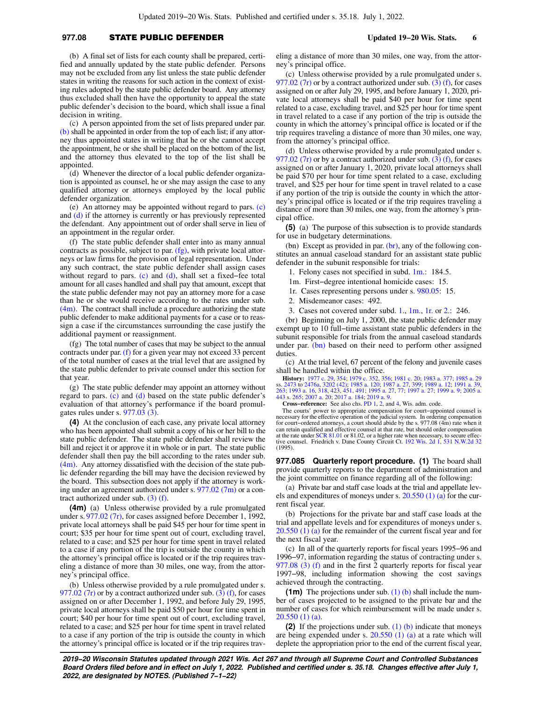# **977.08** STATE PUBLIC DEFENDER **Updated 19−20 Wis. Stats. 6**

(b) A final set of lists for each county shall be prepared, certified and annually updated by the state public defender. Persons may not be excluded from any list unless the state public defender states in writing the reasons for such action in the context of existing rules adopted by the state public defender board. Any attorney thus excluded shall then have the opportunity to appeal the state public defender's decision to the board, which shall issue a final decision in writing.

(c) A person appointed from the set of lists prepared under par. [\(b\)](https://docs.legis.wisconsin.gov/document/statutes/977.08(3)(b)) shall be appointed in order from the top of each list; if any attorney thus appointed states in writing that he or she cannot accept the appointment, he or she shall be placed on the bottom of the list, and the attorney thus elevated to the top of the list shall be appointed.

(d) Whenever the director of a local public defender organization is appointed as counsel, he or she may assign the case to any qualified attorney or attorneys employed by the local public defender organization.

(e) An attorney may be appointed without regard to pars. [\(c\)](https://docs.legis.wisconsin.gov/document/statutes/977.08(3)(c)) and [\(d\)](https://docs.legis.wisconsin.gov/document/statutes/977.08(3)(d)) if the attorney is currently or has previously represented the defendant. Any appointment out of order shall serve in lieu of an appointment in the regular order.

(f) The state public defender shall enter into as many annual contracts as possible, subject to par. [\(fg\)](https://docs.legis.wisconsin.gov/document/statutes/977.08(3)(fg)), with private local attorneys or law firms for the provision of legal representation. Under any such contract, the state public defender shall assign cases without regard to pars. [\(c\)](https://docs.legis.wisconsin.gov/document/statutes/977.08(3)(c)) and [\(d\)](https://docs.legis.wisconsin.gov/document/statutes/977.08(3)(d)), shall set a fixed−fee total amount for all cases handled and shall pay that amount, except that the state public defender may not pay an attorney more for a case than he or she would receive according to the rates under sub.  $(4m)$ . The contract shall include a procedure authorizing the state public defender to make additional payments for a case or to reassign a case if the circumstances surrounding the case justify the additional payment or reassignment.

(fg) The total number of cases that may be subject to the annual contracts under par. [\(f\)](https://docs.legis.wisconsin.gov/document/statutes/977.08(3)(f)) for a given year may not exceed 33 percent of the total number of cases at the trial level that are assigned by the state public defender to private counsel under this section for that year.

(g) The state public defender may appoint an attorney without regard to pars. [\(c\)](https://docs.legis.wisconsin.gov/document/statutes/977.08(3)(c)) and [\(d\)](https://docs.legis.wisconsin.gov/document/statutes/977.08(3)(d)) based on the state public defender's evaluation of that attorney's performance if the board promulgates rules under s. [977.03 \(3\)](https://docs.legis.wisconsin.gov/document/statutes/977.03(3)).

**(4)** At the conclusion of each case, any private local attorney who has been appointed shall submit a copy of his or her bill to the state public defender. The state public defender shall review the bill and reject it or approve it in whole or in part. The state public defender shall then pay the bill according to the rates under sub.  $(4m)$ . Any attorney dissatisfied with the decision of the state public defender regarding the bill may have the decision reviewed by the board. This subsection does not apply if the attorney is working under an agreement authorized under s. [977.02 \(7m\)](https://docs.legis.wisconsin.gov/document/statutes/977.02(7m)) or a contract authorized under sub. [\(3\) \(f\)](https://docs.legis.wisconsin.gov/document/statutes/977.08(3)(f)).

**(4m)** (a) Unless otherwise provided by a rule promulgated under s. [977.02 \(7r\),](https://docs.legis.wisconsin.gov/document/statutes/977.02(7r)) for cases assigned before December 1, 1992, private local attorneys shall be paid \$45 per hour for time spent in court; \$35 per hour for time spent out of court, excluding travel, related to a case; and \$25 per hour for time spent in travel related to a case if any portion of the trip is outside the county in which the attorney's principal office is located or if the trip requires traveling a distance of more than 30 miles, one way, from the attorney's principal office.

(b) Unless otherwise provided by a rule promulgated under s. [977.02 \(7r\)](https://docs.legis.wisconsin.gov/document/statutes/977.02(7r)) or by a contract authorized under sub. [\(3\) \(f\),](https://docs.legis.wisconsin.gov/document/statutes/977.08(3)(f)) for cases assigned on or after December 1, 1992, and before July 29, 1995, private local attorneys shall be paid \$50 per hour for time spent in court; \$40 per hour for time spent out of court, excluding travel, related to a case; and \$25 per hour for time spent in travel related to a case if any portion of the trip is outside the county in which the attorney's principal office is located or if the trip requires traveling a distance of more than 30 miles, one way, from the attorney's principal office.

(c) Unless otherwise provided by a rule promulgated under s. 977.02 ( $7r$ ) or by a contract authorized under sub. [\(3\) \(f\)](https://docs.legis.wisconsin.gov/document/statutes/977.08(3)(f)), for cases assigned on or after July 29, 1995, and before January 1, 2020, private local attorneys shall be paid \$40 per hour for time spent related to a case, excluding travel, and \$25 per hour for time spent in travel related to a case if any portion of the trip is outside the county in which the attorney's principal office is located or if the trip requires traveling a distance of more than 30 miles, one way, from the attorney's principal office.

(d) Unless otherwise provided by a rule promulgated under s. [977.02 \(7r\)](https://docs.legis.wisconsin.gov/document/statutes/977.02(7r)) or by a contract authorized under sub. [\(3\) \(f\)](https://docs.legis.wisconsin.gov/document/statutes/977.08(3)(f)), for cases assigned on or after January 1, 2020, private local attorneys shall be paid \$70 per hour for time spent related to a case, excluding travel, and \$25 per hour for time spent in travel related to a case if any portion of the trip is outside the county in which the attorney's principal office is located or if the trip requires traveling a distance of more than 30 miles, one way, from the attorney's principal office.

**(5)** (a) The purpose of this subsection is to provide standards for use in budgetary determinations.

(bn) Except as provided in par. [\(br\),](https://docs.legis.wisconsin.gov/document/statutes/977.08(5)(br)) any of the following constitutes an annual caseload standard for an assistant state public defender in the subunit responsible for trials:

1. Felony cases not specified in subd. [1m.](https://docs.legis.wisconsin.gov/document/statutes/977.08(5)(bn)1m.): 184.5.

1m. First−degree intentional homicide cases: 15.

1r. Cases representing persons under s. [980.05](https://docs.legis.wisconsin.gov/document/statutes/980.05): 15.

2. Misdemeanor cases: 492.

3. Cases not covered under subd. [1.](https://docs.legis.wisconsin.gov/document/statutes/977.08(5)(bn)1.), [1m.,](https://docs.legis.wisconsin.gov/document/statutes/977.08(5)(bn)1m.) [1r.](https://docs.legis.wisconsin.gov/document/statutes/977.08(5)(bn)1r.) or [2.](https://docs.legis.wisconsin.gov/document/statutes/977.08(5)(bn)2.): 246.

(br) Beginning on July 1, 2000, the state public defender may exempt up to 10 full−time assistant state public defenders in the subunit responsible for trials from the annual caseload standards under par. [\(bn\)](https://docs.legis.wisconsin.gov/document/statutes/977.08(5)(bn)) based on their need to perform other assigned duties.

(c) At the trial level, 67 percent of the felony and juvenile cases shall be handled within the office.

**History:** [1977 c. 29,](https://docs.legis.wisconsin.gov/document/acts/1977/29) [354;](https://docs.legis.wisconsin.gov/document/acts/1977/354) [1979 c. 352](https://docs.legis.wisconsin.gov/document/acts/1979/352), [356;](https://docs.legis.wisconsin.gov/document/acts/1979/356) [1981 c. 20;](https://docs.legis.wisconsin.gov/document/acts/1981/20) [1983 a. 377](https://docs.legis.wisconsin.gov/document/acts/1983/377); [1985 a. 29](https://docs.legis.wisconsin.gov/document/acts/1985/29) ss. [2473](https://docs.legis.wisconsin.gov/document/acts/1985/29,%20s.%202473) to [2476a](https://docs.legis.wisconsin.gov/document/acts/1985/29,%20s.%202476a), [3202 \(42\)](https://docs.legis.wisconsin.gov/document/acts/1985/29,%20s.%203202); [1985 a. 120;](https://docs.legis.wisconsin.gov/document/acts/1985/120) [1987 a. 27,](https://docs.legis.wisconsin.gov/document/acts/1987/27) [399](https://docs.legis.wisconsin.gov/document/acts/1987/399); [1989 a. 12](https://docs.legis.wisconsin.gov/document/acts/1989/12); [1991 a. 39](https://docs.legis.wisconsin.gov/document/acts/1991/39), [263;](https://docs.legis.wisconsin.gov/document/acts/1991/263) [1993 a. 16,](https://docs.legis.wisconsin.gov/document/acts/1993/16) [318,](https://docs.legis.wisconsin.gov/document/acts/1993/318) [423](https://docs.legis.wisconsin.gov/document/acts/1993/423), [451](https://docs.legis.wisconsin.gov/document/acts/1993/451), [491](https://docs.legis.wisconsin.gov/document/acts/1993/491); [1995 a. 27,](https://docs.legis.wisconsin.gov/document/acts/1995/27) [77](https://docs.legis.wisconsin.gov/document/acts/1995/77); [1997 a. 27;](https://docs.legis.wisconsin.gov/document/acts/1997/27) [1999 a. 9;](https://docs.legis.wisconsin.gov/document/acts/1999/9) [2005 a.](https://docs.legis.wisconsin.gov/document/acts/2005/443) [443](https://docs.legis.wisconsin.gov/document/acts/2005/443) s. [265](https://docs.legis.wisconsin.gov/document/acts/2005/443,%20s.%20265); [2007 a. 20](https://docs.legis.wisconsin.gov/document/acts/2007/20); [2017 a. 184;](https://docs.legis.wisconsin.gov/document/acts/2017/184) [2019 a. 9.](https://docs.legis.wisconsin.gov/document/acts/2019/9)

**Cross−reference:** See also chs. [PD 1](https://docs.legis.wisconsin.gov/document/administrativecode/ch.%20PD%201), [2](https://docs.legis.wisconsin.gov/document/administrativecode/ch.%20PD%202), and [4](https://docs.legis.wisconsin.gov/document/administrativecode/ch.%20PD%204), Wis. adm. code.

The courts' power to appropriate compensation for court−appointed counsel is necessary for the effective operation of the judicial system. In ordering compensation<br>for court–ordered attorneys, a court should abide by the s. 977.08 (4m) rate when it<br>can retain qualified and effective counsel at that at the rate under [SCR 81.01](https://docs.legis.wisconsin.gov/document/scr/81.01) or 81.02, or a higher rate when necessary, to secure effec-tive counsel. Friedrich v. Dane County Circuit Ct. [192 Wis. 2d 1](https://docs.legis.wisconsin.gov/document/courts/192%20Wis.%202d%201), [531 N.W.2d 32](https://docs.legis.wisconsin.gov/document/courts/531%20N.W.2d%2032) (1995).

**977.085 Quarterly report procedure. (1)** The board shall provide quarterly reports to the department of administration and the joint committee on finance regarding all of the following:

(a) Private bar and staff case loads at the trial and appellate levels and expenditures of moneys under s.  $20.550(1)(a)$  for the current fiscal year.

(b) Projections for the private bar and staff case loads at the trial and appellate levels and for expenditures of moneys under s.  $20.550$  (1) (a) for the remainder of the current fiscal year and for the next fiscal year.

(c) In all of the quarterly reports for fiscal years 1995−96 and 1996−97, information regarding the status of contracting under s. [977.08 \(3\) \(f\)](https://docs.legis.wisconsin.gov/document/statutes/977.08(3)(f)) and in the first 2 quarterly reports for fiscal year 1997−98, including information showing the cost savings achieved through the contracting.

**(1m)** The projections under sub. [\(1\) \(b\)](https://docs.legis.wisconsin.gov/document/statutes/977.085(1)(b)) shall include the number of cases projected to be assigned to the private bar and the number of cases for which reimbursement will be made under s. [20.550 \(1\) \(a\)](https://docs.legis.wisconsin.gov/document/statutes/20.550(1)(a)).

**(2)** If the projections under sub. [\(1\) \(b\)](https://docs.legis.wisconsin.gov/document/statutes/977.085(1)(b)) indicate that moneys are being expended under s.  $20.550$  (1) (a) at a rate which will deplete the appropriation prior to the end of the current fiscal year,